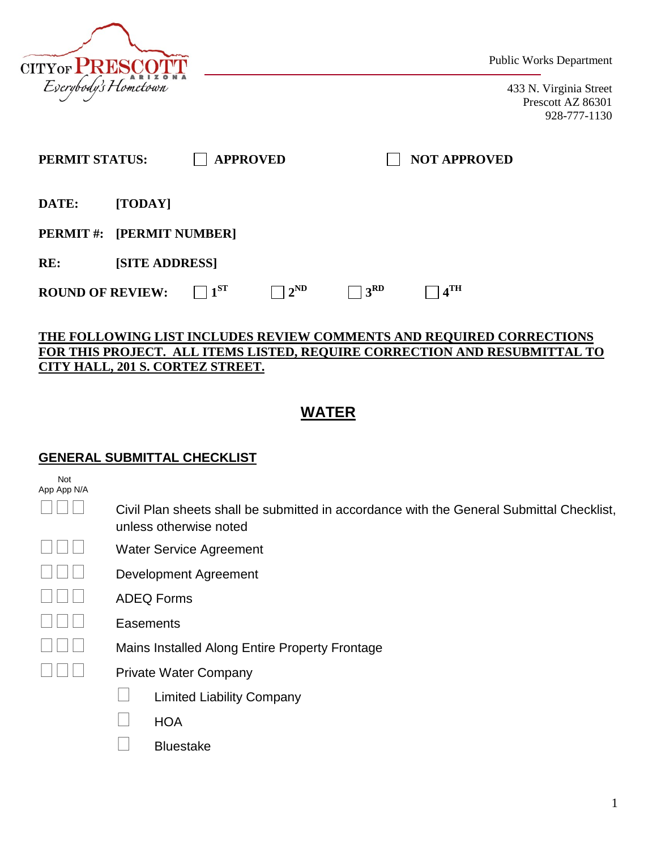

Public Works Department

433 N. Virginia Street Prescott AZ 86301 928-777-1130

| PERMIT STATUS:                   |                       | <b>APPROVED</b> |              |               | <b>NOT APPROVED</b> |  |
|----------------------------------|-----------------------|-----------------|--------------|---------------|---------------------|--|
| DATE:                            | [TODAY]               |                 |              |               |                     |  |
| <b>PERMIT #: [PERMIT NUMBER]</b> |                       |                 |              |               |                     |  |
| RE:                              | <b>[SITE ADDRESS]</b> |                 |              |               |                     |  |
| <b>ROUND OF REVIEW:</b>          |                       | $1^{ST}$        | $2^{\rm ND}$ | $+3^{\rm RD}$ | 4 <sup>TH</sup>     |  |

### **THE FOLLOWING LIST INCLUDES REVIEW COMMENTS AND REQUIRED CORRECTIONS FOR THIS PROJECT. ALL ITEMS LISTED, REQUIRE CORRECTION AND RESUBMITTAL TO CITY HALL, 201 S. CORTEZ STREET.**

# **WATER**

#### **GENERAL SUBMITTAL CHECKLIST**

| Not<br>App App N/A |                                                                                                                    |
|--------------------|--------------------------------------------------------------------------------------------------------------------|
|                    | Civil Plan sheets shall be submitted in accordance with the General Submittal Checklist,<br>unless otherwise noted |
|                    | <b>Water Service Agreement</b>                                                                                     |
|                    | Development Agreement                                                                                              |
|                    | <b>ADEQ Forms</b>                                                                                                  |
|                    | Easements                                                                                                          |
|                    | Mains Installed Along Entire Property Frontage                                                                     |
|                    | <b>Private Water Company</b>                                                                                       |
|                    | <b>Limited Liability Company</b>                                                                                   |
|                    | <b>HOA</b>                                                                                                         |
|                    | <b>Bluestake</b>                                                                                                   |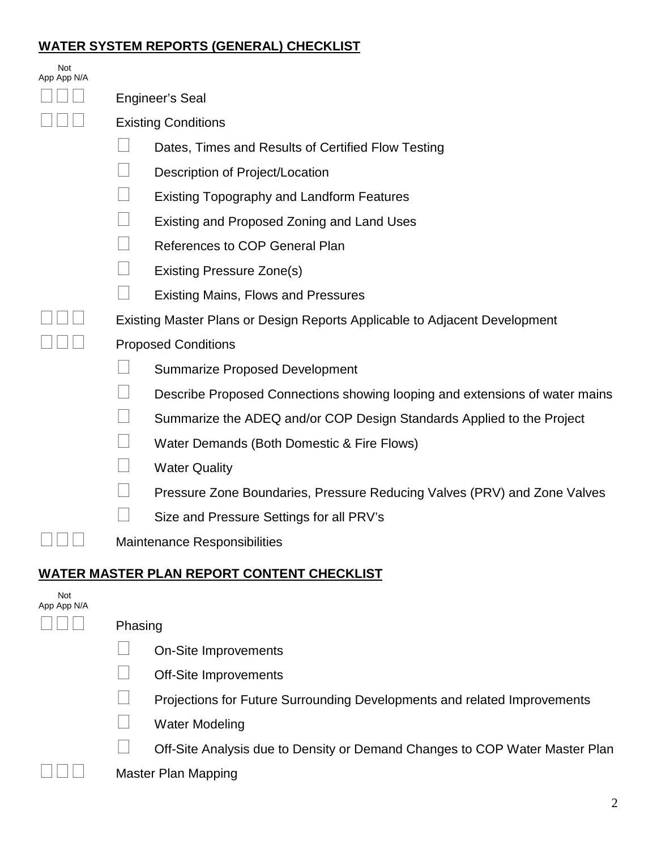## **WATER SYSTEM REPORTS (GENERAL) CHECKLIST**

| Not<br>App App N/A |                                                                             |  |  |  |
|--------------------|-----------------------------------------------------------------------------|--|--|--|
|                    | Engineer's Seal                                                             |  |  |  |
|                    | <b>Existing Conditions</b>                                                  |  |  |  |
|                    | Dates, Times and Results of Certified Flow Testing                          |  |  |  |
|                    | Description of Project/Location                                             |  |  |  |
|                    | <b>Existing Topography and Landform Features</b>                            |  |  |  |
|                    | Existing and Proposed Zoning and Land Uses                                  |  |  |  |
|                    | <b>References to COP General Plan</b>                                       |  |  |  |
|                    | <b>Existing Pressure Zone(s)</b>                                            |  |  |  |
|                    | <b>Existing Mains, Flows and Pressures</b>                                  |  |  |  |
|                    | Existing Master Plans or Design Reports Applicable to Adjacent Development  |  |  |  |
|                    | <b>Proposed Conditions</b>                                                  |  |  |  |
|                    | <b>Summarize Proposed Development</b>                                       |  |  |  |
|                    | Describe Proposed Connections showing looping and extensions of water mains |  |  |  |
|                    | Summarize the ADEQ and/or COP Design Standards Applied to the Project       |  |  |  |
|                    | Water Demands (Both Domestic & Fire Flows)                                  |  |  |  |
|                    | <b>Water Quality</b>                                                        |  |  |  |
|                    | Pressure Zone Boundaries, Pressure Reducing Valves (PRV) and Zone Valves    |  |  |  |
|                    | Size and Pressure Settings for all PRV's                                    |  |  |  |
|                    | <b>Maintenance Responsibilities</b>                                         |  |  |  |
|                    | <u>WATER MASTER PLAN REPORT CONTENT CHECKLIST</u>                           |  |  |  |
| Not<br>App App N/A |                                                                             |  |  |  |
|                    | Phasing                                                                     |  |  |  |
|                    | On-Site Improvements                                                        |  |  |  |
|                    | <b>Off-Site Improvements</b>                                                |  |  |  |
|                    | Projections for Future Surrounding Developments and related Improvements    |  |  |  |
|                    |                                                                             |  |  |  |

**Nater Modeling** 

Off-Site Analysis due to Density or Demand Changes to COP Water Master Plan

 $\Box$   $\Box$  Master Plan Mapping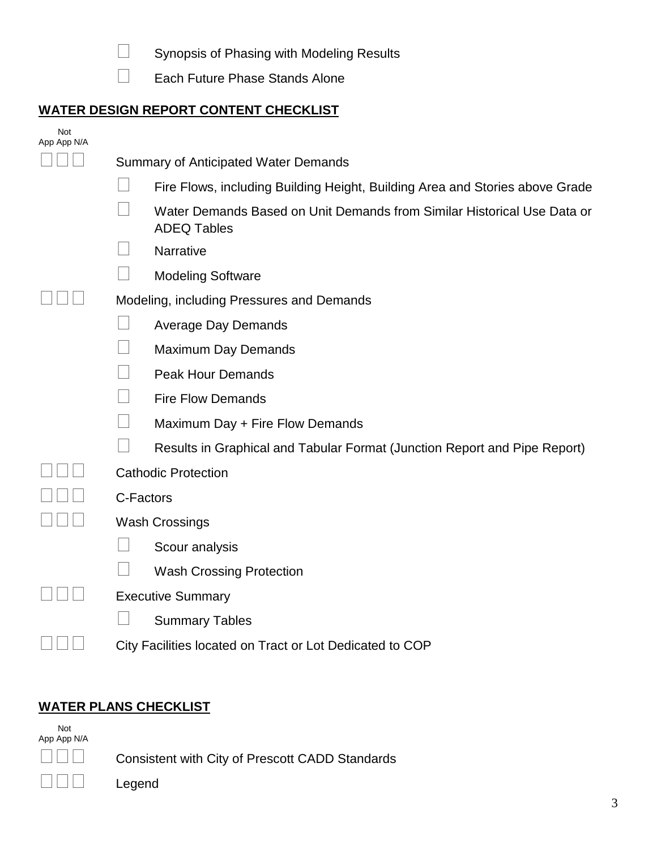Synopsis of Phasing with Modeling Results

Each Future Phase Stands Alone

## **WATER DESIGN REPORT CONTENT CHECKLIST**

| Not<br>App App N/A |                                                                                               |  |  |  |
|--------------------|-----------------------------------------------------------------------------------------------|--|--|--|
|                    | <b>Summary of Anticipated Water Demands</b>                                                   |  |  |  |
|                    | Fire Flows, including Building Height, Building Area and Stories above Grade                  |  |  |  |
|                    | Water Demands Based on Unit Demands from Similar Historical Use Data or<br><b>ADEQ Tables</b> |  |  |  |
|                    | Narrative                                                                                     |  |  |  |
|                    | <b>Modeling Software</b>                                                                      |  |  |  |
|                    | Modeling, including Pressures and Demands                                                     |  |  |  |
|                    | <b>Average Day Demands</b>                                                                    |  |  |  |
|                    | <b>Maximum Day Demands</b>                                                                    |  |  |  |
|                    | <b>Peak Hour Demands</b>                                                                      |  |  |  |
|                    | <b>Fire Flow Demands</b>                                                                      |  |  |  |
|                    | Maximum Day + Fire Flow Demands                                                               |  |  |  |
|                    | Results in Graphical and Tabular Format (Junction Report and Pipe Report)                     |  |  |  |
|                    | <b>Cathodic Protection</b>                                                                    |  |  |  |
|                    | C-Factors                                                                                     |  |  |  |
|                    | <b>Wash Crossings</b>                                                                         |  |  |  |
|                    | Scour analysis                                                                                |  |  |  |
|                    | <b>Wash Crossing Protection</b>                                                               |  |  |  |
|                    | <b>Executive Summary</b>                                                                      |  |  |  |
|                    | <b>Summary Tables</b>                                                                         |  |  |  |
|                    | City Facilities located on Tract or Lot Dedicated to COP                                      |  |  |  |

# **WATER PLANS CHECKLIST**

 Not App App N/A

Legend

Consistent with City of Prescott CADD Standards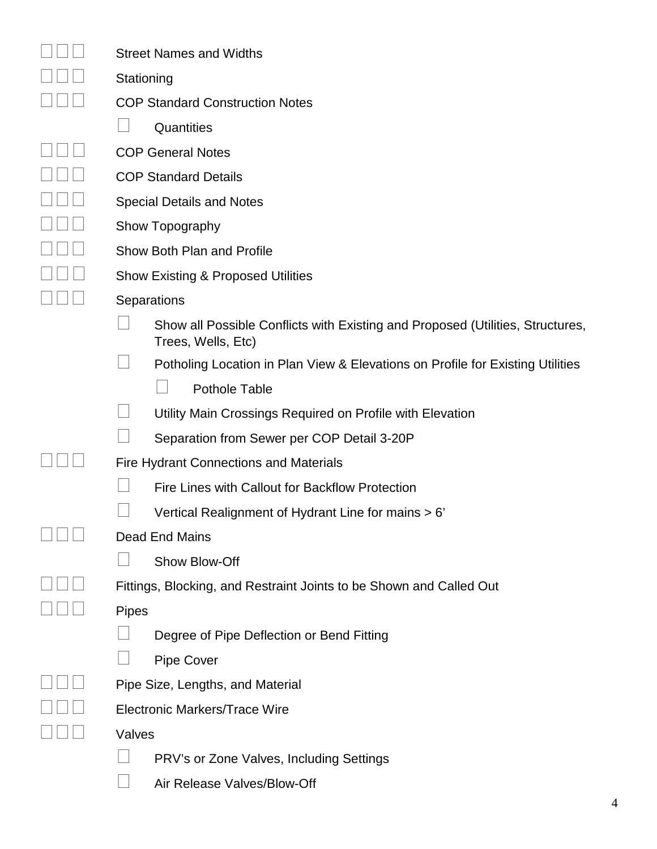| <b>Street Names and Widths</b>                                                                       |  |  |  |
|------------------------------------------------------------------------------------------------------|--|--|--|
| Stationing                                                                                           |  |  |  |
| <b>COP Standard Construction Notes</b>                                                               |  |  |  |
| Quantities                                                                                           |  |  |  |
| <b>COP General Notes</b>                                                                             |  |  |  |
| <b>COP Standard Details</b>                                                                          |  |  |  |
| <b>Special Details and Notes</b>                                                                     |  |  |  |
| Show Topography                                                                                      |  |  |  |
| Show Both Plan and Profile                                                                           |  |  |  |
| <b>Show Existing &amp; Proposed Utilities</b>                                                        |  |  |  |
| Separations                                                                                          |  |  |  |
| Show all Possible Conflicts with Existing and Proposed (Utilities, Structures,<br>Trees, Wells, Etc) |  |  |  |
| Potholing Location in Plan View & Elevations on Profile for Existing Utilities                       |  |  |  |
| <b>Pothole Table</b>                                                                                 |  |  |  |
| Utility Main Crossings Required on Profile with Elevation                                            |  |  |  |
| Separation from Sewer per COP Detail 3-20P                                                           |  |  |  |
| <b>Fire Hydrant Connections and Materials</b>                                                        |  |  |  |
| Fire Lines with Callout for Backflow Protection                                                      |  |  |  |
| Vertical Realignment of Hydrant Line for mains > 6'                                                  |  |  |  |
| Dead End Mains                                                                                       |  |  |  |
| Show Blow-Off                                                                                        |  |  |  |
| Fittings, Blocking, and Restraint Joints to be Shown and Called Out                                  |  |  |  |
| <b>Pipes</b>                                                                                         |  |  |  |
| Degree of Pipe Deflection or Bend Fitting                                                            |  |  |  |
| <b>Pipe Cover</b>                                                                                    |  |  |  |
| Pipe Size, Lengths, and Material                                                                     |  |  |  |
| Electronic Markers/Trace Wire                                                                        |  |  |  |
| Valves                                                                                               |  |  |  |
| PRV's or Zone Valves, Including Settings                                                             |  |  |  |
| Air Release Valves/Blow-Off                                                                          |  |  |  |